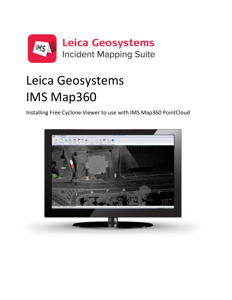

# Leica Geosystems  $\mathbf{t}$  is an analyze, process, and process, and process, and process, and process, and process, and process, and process, and process, and process, and process, and process, and process, and process, and process, and pr vis Mankr IMS Map360

Installing Free Cyclone Viewer to use with IMS Map360 PointCloud

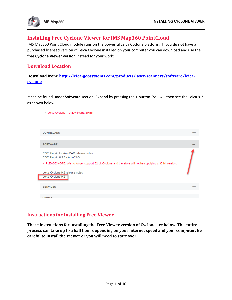

## **Installing Free Cyclone Viewer for IMS Map360 PointCloud**

IMS Map360 Point Cloud module runs on the powerful Leica Cyclone platform. If you **do not** have a purchased licensed version of Leica Cyclone installed on your computer you can download and use the **free Cyclone Viewer version** instead for your work:

## **Download Location**

**Download from: [http://leica-geosystems.com/products/laser-scanners/software/leica](http://leica-geosystems.com/products/laser-scanners/software/leica-cyclone)[cyclone](http://leica-geosystems.com/products/laser-scanners/software/leica-cyclone)**

It can be found under **Software** section. Expand by pressing the **+** button. You will then see the Leica 9.2 as shown below:

| • Leica Cyclone TruView PUBLISHER                                                                        |  |
|----------------------------------------------------------------------------------------------------------|--|
| <b>DOWNLOADS</b>                                                                                         |  |
|                                                                                                          |  |
| <b>SOFTWARE</b>                                                                                          |  |
| COE Plug-in for AutoCAD release notes<br>COE Plug-in 6.2 for AutoCAD                                     |  |
| • PLEASE NOTE: We no longer support 32 bit Cyclone and therefore will not be supplying a 32 bit version. |  |
| Leica Cyclone 9.2 release notes                                                                          |  |
| Leica Cyclone 9.2                                                                                        |  |
| <b>SERVICES</b>                                                                                          |  |
|                                                                                                          |  |
|                                                                                                          |  |
|                                                                                                          |  |

# **Instructions for Installing Free Viewer**

**These instructions for installing the Free Viewer version of Cyclone are below. The entire process can take up to a half hour depending on your internet speed and your computer. Be careful to install the Viewer or you will need to start over.**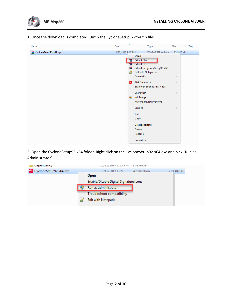

1. Once the download is completed. Unzip the CycloneSetup92-x64.zip file:

| Name                   | Date               |                                                                                                                                                                                                                                                      | Type                                                                                                              | Size               | Tags |
|------------------------|--------------------|------------------------------------------------------------------------------------------------------------------------------------------------------------------------------------------------------------------------------------------------------|-------------------------------------------------------------------------------------------------------------------|--------------------|------|
| CycloneSetup92-x64.zip | 12/20/2017 1:13 PM |                                                                                                                                                                                                                                                      | WinRAR 7IP archive                                                                                                | 852 925 KB         |      |
|                        |                    | <b>Open</b><br>Extract files<br>€<br><b>Extract Here</b><br>е<br>€<br>D<br>Open with<br><b>PDF Architect 4</b><br>$\mathbb{A}$<br>Share with<br>¢€<br>WinMerge<br>Send to<br>Cut<br>Copy<br>Create shortcut<br><b>Delete</b><br>Rename<br>Properties | Extract to CycloneSetup92-x64\<br>Edit with Notepad++<br>Scan with Sophos Anti-Virus<br>Restore previous versions | Þ<br>Þ<br>Þ.<br>Þ. |      |

2. Open the CycloneSetup92-x64 folder. Right click on the CycloneSetup92-x64.exe and pick "Run as Administrator".

| Dependency             | <b>INA CC:7 / TN7/TT/NT</b>            | File folder |            |
|------------------------|----------------------------------------|-------------|------------|
| CycloneSetup92-x64.exe | 10/11/2017 12-50                       | Annlication | 719,402 KB |
|                        | <b>Open</b>                            |             |            |
|                        | Enable/Disable Digital Signature Icons |             |            |
|                        | Run as administrator                   |             |            |
|                        | Troubleshoot compatibility             |             |            |
|                        | Edit with Notepad++                    |             |            |
|                        |                                        |             |            |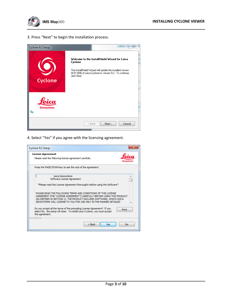

3. Press "Next" to begin the installation process.



4. Select "Yes" if you agree with the licensing agreement.

| Cyclone 9.2 Setup                                                                                                                                                                                                                                                                         |
|-------------------------------------------------------------------------------------------------------------------------------------------------------------------------------------------------------------------------------------------------------------------------------------------|
| <b>License Agreement</b><br>Please read the following license agreement carefully.                                                                                                                                                                                                        |
| Press the PAGE DOWN key to see the rest of the agreement.                                                                                                                                                                                                                                 |
| Leica Geosystems<br>Software License Agreement<br>*Please read this License Agreement thoroughly before using the Software*                                                                                                                                                               |
| PLEASE READ THE FOLLOWING TERMS AND CONDITIONS OF THIS LICENSE<br>AGREEMENT (THE "LICENSE AGREEMENT") CAREFULLY BEFORE USING THIS PRODUCT<br>(AS DEFINED IN SECTION 1). THE PRODUCT INCLUDES SOFTWARE, WHICH LEICA<br>GEOSYSTEMS WILL LICENSE TO YOU FOR USE ONLY IN THE MANNER DETAILED. |
| Do you accept all the terms of the preceding License Agreement? If you<br>Print<br>select No, the setup will close. To install Leica Cyclone, you must accept<br>this agreement.<br><b>InstallShield</b>                                                                                  |
| $<$ Back<br>Yes<br>No                                                                                                                                                                                                                                                                     |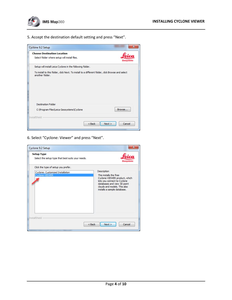

5. Accept the destination default setting and press "Next".

| Cyclone 9.2 Setup                                                                                                   |        | x |
|---------------------------------------------------------------------------------------------------------------------|--------|---|
| <b>Choose Destination Location</b><br>Select folder where setup will install files.                                 |        |   |
| Setup will install Leica Cyclone in the following folder.                                                           |        |   |
| To install to this folder, click Next. To install to a different folder, click Browse and select<br>another folder. |        |   |
| <b>Destination Folder</b>                                                                                           |        |   |
| C: \Program Files\Leica Geosystems\Cyclone<br><b>InstallShield</b>                                                  | Browse |   |
| $Back$<br>Next                                                                                                      | Cancel |   |

6. Select "Cyclone: Viewer" and press "Next".

| Cyclone 9.2 Setup                                                      |                                                                                                                                                                                                     |
|------------------------------------------------------------------------|-----------------------------------------------------------------------------------------------------------------------------------------------------------------------------------------------------|
| <b>Setup Type</b><br>Select the setup type that best suits your needs. | Geosystems                                                                                                                                                                                          |
| Click the type of setup you prefer.                                    |                                                                                                                                                                                                     |
| Cyclone: Customized Installation<br>Cyclone-VIEWER                     | Description<br>This installs the free<br>Cyclone-VIEWER product, which<br>lets you connect to Cyclone<br>databases and view 3D point<br>clouds and models. This also<br>installs a sample database. |
| <b>InstallShield</b><br>$<$ Back                                       | Next<br>Cancel                                                                                                                                                                                      |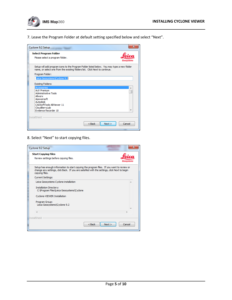

7. Leave the Program Folder at default setting specified below and select "Next".

| Cyclone 9.2 Setup                                                                                                                                                         |                |
|---------------------------------------------------------------------------------------------------------------------------------------------------------------------------|----------------|
| <b>Select Program Folder</b>                                                                                                                                              |                |
| Please select a program folder.                                                                                                                                           | Geosystem      |
| Setup will add program icons to the Program Folder listed below. You may type a new folder<br>name, or select one from the existing folders list. Click Next to continue. |                |
| Program Folder:                                                                                                                                                           |                |
| Leica Geosystems\Cyclone 9.2                                                                                                                                              |                |
| <b>Existing Folders:</b>                                                                                                                                                  |                |
| <b>Accessories</b>                                                                                                                                                        |                |
| Act! Premium<br><b>Administrative Tools</b>                                                                                                                               |                |
| Allworx                                                                                                                                                                   |                |
| Apowersoft                                                                                                                                                                |                |
| Autodesk<br>CADSoftTools ABViewer 11                                                                                                                                      |                |
| CloudBerryLab                                                                                                                                                             |                |
| Evidence Recorder 10                                                                                                                                                      |                |
|                                                                                                                                                                           |                |
| <b>InstallShield</b>                                                                                                                                                      |                |
| $<$ Back                                                                                                                                                                  | Next<br>Cancel |
|                                                                                                                                                                           |                |

8. Select "Next" to start copying files.

| Cyclone 9.2 Setup                                                                                                                                                                                      | Ж                                                                                         |  |
|--------------------------------------------------------------------------------------------------------------------------------------------------------------------------------------------------------|-------------------------------------------------------------------------------------------|--|
| <b>Start Copying Files</b><br>Review settings before copying files.                                                                                                                                    | Geosvstem:                                                                                |  |
| change any settings, click Back. If you are satisfied with the settings, click Next to begin<br>copying files.                                                                                         | Setup has enough information to start copying the program files. If you want to review or |  |
| <b>Current Settings:</b>                                                                                                                                                                               |                                                                                           |  |
| Leica Geosystems Cyclone installation<br><b>Installation Directory:</b><br>C: \Program Files\Leica Geosystems\Cyclone<br>Cyclone-VIEWER Installation<br>Program Group:<br>Leica Geosystems\Cyclone 9.2 |                                                                                           |  |
| ∢<br><b>InstallShield</b>                                                                                                                                                                              |                                                                                           |  |
|                                                                                                                                                                                                        | $<$ Back<br>Next<br>Cancel                                                                |  |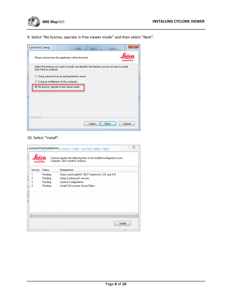

9. Select "No license, operate in free viewer mode" and then select "Next".

| Cyclone 9.2 Setup                                                                                                         |           |
|---------------------------------------------------------------------------------------------------------------------------|-----------|
| Please choose how this application will be licensed:                                                                      | Geosvstem |
| Select the features you want to install, and deselect the features you do not want to install.<br>Click Next to continue. |           |
| Using a license from an existing license server<br>0                                                                      |           |
| Using an entitlement on this computer<br>M                                                                                |           |
| No license, operate in free viewer mode                                                                                   |           |
|                                                                                                                           |           |
|                                                                                                                           |           |
|                                                                                                                           |           |
|                                                                                                                           |           |
| <b>InstallShield</b>                                                                                                      |           |
| Next<br>< Back                                                                                                            | Cancel    |

## 10. Select "Install".

| X<br><b>Cyclone Post Installations</b>                                                                                               |         |                                                   |  |
|--------------------------------------------------------------------------------------------------------------------------------------|---------|---------------------------------------------------|--|
| Cyclone requires the following items to be installed/configured on your<br>computer. Click Install to continue.<br><b>Geosystems</b> |         |                                                   |  |
| Service                                                                                                                              | Status  | Requirement                                       |  |
| 1                                                                                                                                    | Pending | Check and Install MS .NET FrameWork 3.51 and 4.51 |  |
| $\overline{c}$                                                                                                                       | Pending | Setup Cyclone pcE services                        |  |
| 3                                                                                                                                    | Pending | <b>Cyclone Configurations</b>                     |  |
| 4                                                                                                                                    | Pending | Install CLM License Server/Client                 |  |
|                                                                                                                                      |         |                                                   |  |
|                                                                                                                                      |         |                                                   |  |
|                                                                                                                                      |         |                                                   |  |
|                                                                                                                                      |         |                                                   |  |
|                                                                                                                                      |         |                                                   |  |
|                                                                                                                                      |         |                                                   |  |
|                                                                                                                                      |         |                                                   |  |
|                                                                                                                                      |         |                                                   |  |
|                                                                                                                                      |         | Install                                           |  |
|                                                                                                                                      |         |                                                   |  |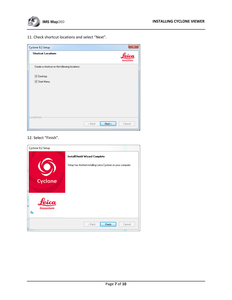

11. Check shortcut locations and select "Next".

| Cyclone 9.2 Setup                             | $\mathbf{x}$               |
|-----------------------------------------------|----------------------------|
| <b>Shortcut Locations</b>                     | œ<br><b>Geosystems</b>     |
| Create a shortcut on the following locations: |                            |
| Desktop                                       |                            |
| Start Menu                                    |                            |
|                                               |                            |
|                                               |                            |
|                                               |                            |
|                                               |                            |
| <b>InstallShield</b>                          |                            |
|                                               | Next ><br>< Back<br>Cancel |

## 12. Select "Finish".

| Cyclone 9.2 Setup      |                                                                                                |
|------------------------|------------------------------------------------------------------------------------------------|
| <b>Cyclone</b>         | InstallShield Wizard Complete<br>Setup has finished installing Leica Cyclone on your computer. |
| ca<br>Geosystems<br>٨ı | Finish<br>< Back<br>Cancel                                                                     |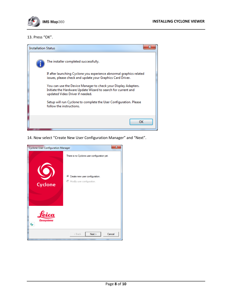

### 13. Press "OK".



14. Now select "Create New User Configuration Manager" and "Next".

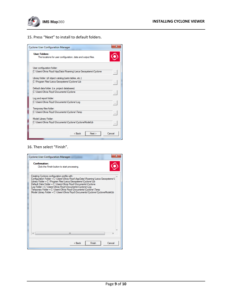

#### 15. Press "Next" to install to default folders.

| <b>Cyclone User Configuration Manager</b>                                            |          |
|--------------------------------------------------------------------------------------|----------|
| <b>User Folders:</b><br>The locations for user configuration, data and output files. |          |
| User configuration folder:                                                           |          |
| C:\Users\Olivia Floyd\AppData\Roaming\Leica Geosystems\Cyclone                       | $\ldots$ |
| Library folder: (of object catalog/parts tables, etc.)                               |          |
| C:\Program Files\Leica Geosystems\Cyclone\Lib                                        | $\ldots$ |
| Default data folder: (i.e. project databases)                                        |          |
| C:\Users\Olivia Flovd\Documents\Cvclone                                              | $\ldots$ |
| Log and report folder:                                                               |          |
| C:\Users\Olivia Floyd\Documents\Cyclone\Log                                          | $\ldots$ |
| Temporary files folder:                                                              |          |
| C:\Users\Olivia Flovd\Documents\Cvclone\Temp                                         | $\ldots$ |
| Model Library Folder:                                                                |          |
| C:\Users\Olivia Floyd\Documents\Cyclone\CycloneModelLib                              | $\ldots$ |
| Cancel<br>< Back<br>Next                                                             |          |

#### 16. Then select "Finish".

| <b>Cyclone User Configuration Manager</b>                                                                                                                                                                                                                                                                                                                                                                                                                                           |        |
|-------------------------------------------------------------------------------------------------------------------------------------------------------------------------------------------------------------------------------------------------------------------------------------------------------------------------------------------------------------------------------------------------------------------------------------------------------------------------------------|--------|
| Confirmation:<br>Click the Finish button to start processing.                                                                                                                                                                                                                                                                                                                                                                                                                       |        |
| Creating Cyclone configuration profile with:<br>Configuration Folder = C:\Users\Olivia Floyd\AppData\Roaming\Leica Geosystems\(<br>Library Folder = C:\Program Files\Leica Geosystems\Cyclone\Lib<br>Default Data Folder = C:\Users\Olivia Floyd\Documents\Cyclone<br>Log Folder = C:\Users\Olivia Floyd\Documents\Cyclone\Log<br>Temporary Folder = C:\Users\Olivia Flovd\Documents\Cvclone\Temp<br>Model Library Folder = C:\Users\Olivia Floyd\Documents\Cyclone\CycloneModelLib |        |
| Ш                                                                                                                                                                                                                                                                                                                                                                                                                                                                                   |        |
| Finish<br>< Back                                                                                                                                                                                                                                                                                                                                                                                                                                                                    | Cancel |